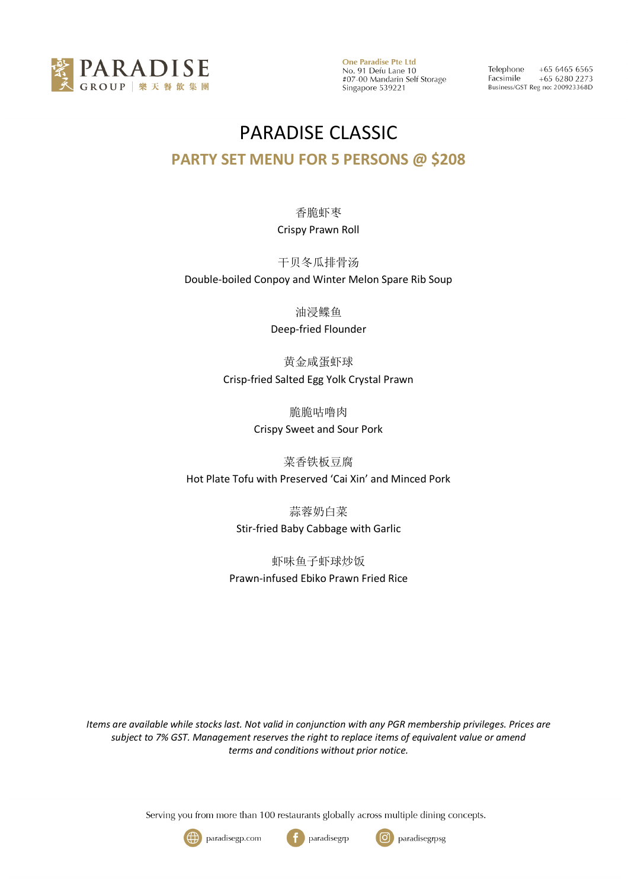

Telephone  $+6564656565$ Facsimile  $+6562802273$ Business/GST Reg no: 200923368D

# PARADISE CLASSIC

### **PARTY SET MENU FOR 5 PERSONS @ \$208**

#### 香脆虾枣 Crispy Prawn Roll

干贝冬瓜排骨汤 Double-boiled Conpoy and Winter Melon Spare Rib Soup

油浸鲽鱼

Deep-fried Flounder

黄金咸蛋虾球 Crisp-fried Salted Egg Yolk Crystal Prawn

> 脆脆咕噜肉 Crispy Sweet and Sour Pork

菜香铁板豆腐

Hot Plate Tofu with Preserved 'Cai Xin' and Minced Pork

蒜蓉奶白菜 Stir-fried Baby Cabbage with Garlic

虾味鱼子虾球炒饭 Prawn-infused Ebiko Prawn Fried Rice

*Items are available while stocks last. Not valid in conjunction with any PGR membership privileges. Prices are subject to 7% GST. Management reserves the right to replace items of equivalent value or amend terms and conditions without prior notice.*

Serving you from more than 100 restaurants globally across multiple dining concepts.





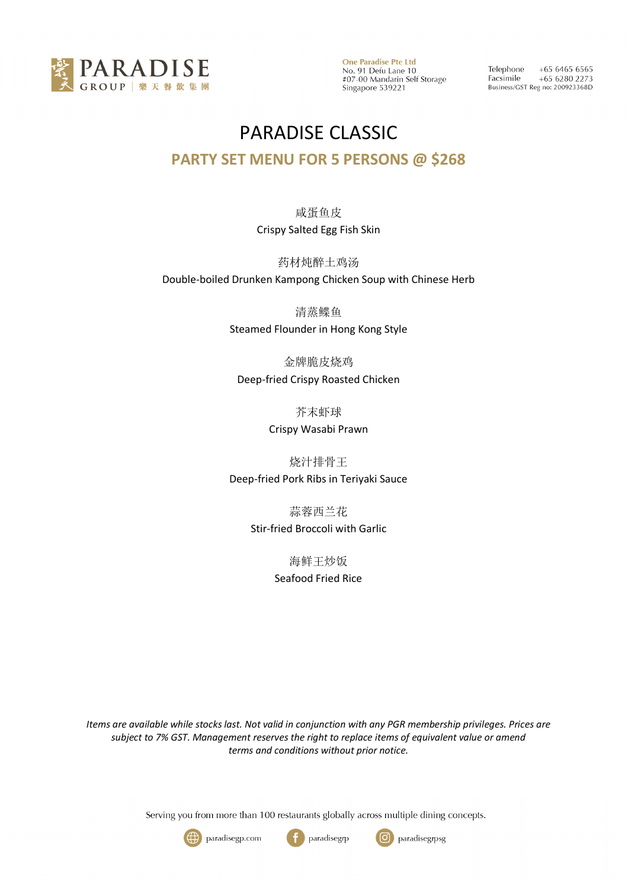

Telephone  $+6564656565$ Facsimile  $+6562802273$ Business/GST Reg no: 200923368D

## PARADISE CLASSIC

### **PARTY SET MENU FOR 5 PERSONS @ \$268**

### 咸蛋鱼皮 Crispy Salted Egg Fish Skin

药材炖醉土鸡汤 Double-boiled Drunken Kampong Chicken Soup with Chinese Herb

> 清蒸鲽鱼 Steamed Flounder in Hong Kong Style

金牌脆皮烧鸡 Deep-fried Crispy Roasted Chicken

芥末虾球

Crispy Wasabi Prawn

烧汁排骨王 Deep-fried Pork Ribs in Teriyaki Sauce

> 蒜蓉西兰花 Stir-fried Broccoli with Garlic

> > 海鲜王炒饭 Seafood Fried Rice

*Items are available while stocks last. Not valid in conjunction with any PGR membership privileges. Prices are subject to 7% GST. Management reserves the right to replace items of equivalent value or amend terms and conditions without prior notice.*

Serving you from more than 100 restaurants globally across multiple dining concepts.





paradisegrp

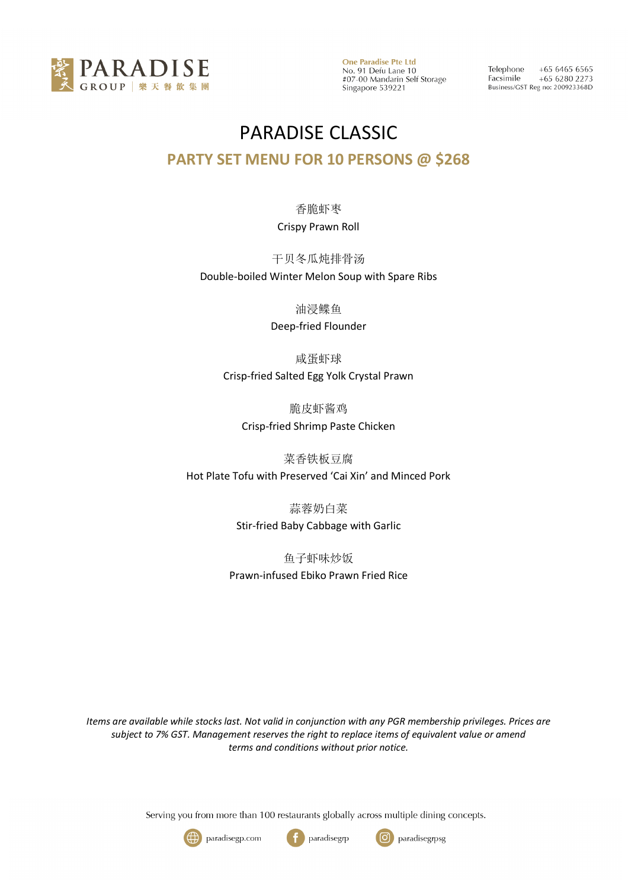

Telephone  $+6564656565$ Facsimile  $+6562802273$ Business/GST Reg no: 200923368D

## PARADISE CLASSIC **PARTY SET MENU FOR 10 PERSONS @ \$268**

#### 香脆虾枣 Crispy Prawn Roll

#### 干贝冬瓜炖排骨汤

Double-boiled Winter Melon Soup with Spare Ribs

油浸鲽鱼

Deep-fried Flounder

咸蛋虾球

Crisp-fried Salted Egg Yolk Crystal Prawn

脆皮虾酱鸡 Crisp-fried Shrimp Paste Chicken

菜香铁板豆腐 Hot Plate Tofu with Preserved 'Cai Xin' and Minced Pork

> 蒜蓉奶白菜 Stir-fried Baby Cabbage with Garlic

鱼子虾味炒饭 Prawn-infused Ebiko Prawn Fried Rice

*Items are available while stocks last. Not valid in conjunction with any PGR membership privileges. Prices are subject to 7% GST. Management reserves the right to replace items of equivalent value or amend terms and conditions without prior notice.*

Serving you from more than 100 restaurants globally across multiple dining concepts.





paradisegrp